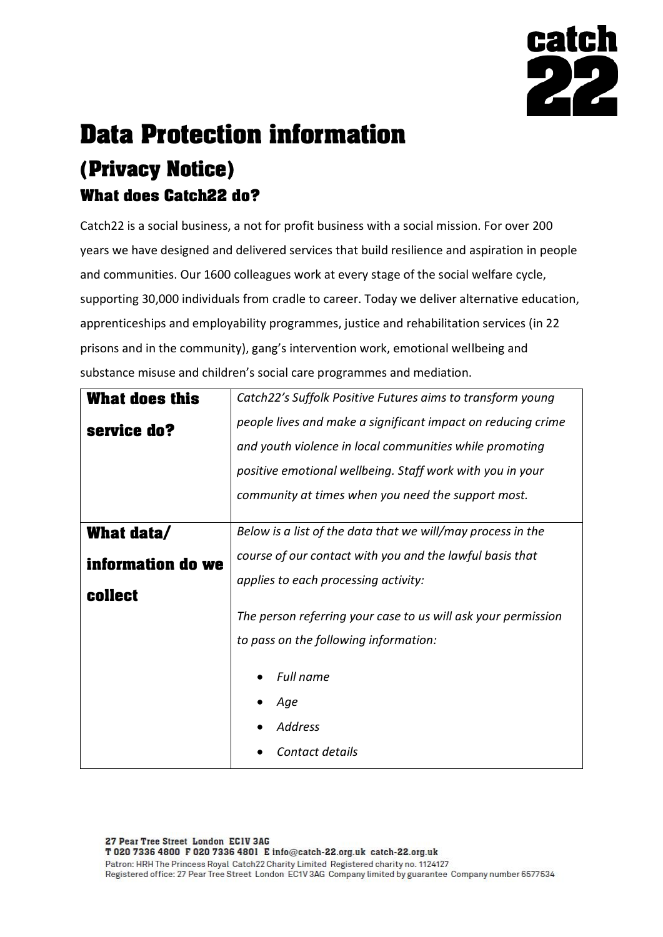

# **Data Protection information (Privacy Notice) What does Catch22 do?**

Catch22 is a social business, a not for profit business with a social mission. For over 200 years we have designed and delivered services that build resilience and aspiration in people and communities. Our 1600 colleagues work at every stage of the social welfare cycle, supporting 30,000 individuals from cradle to career. Today we deliver alternative education, apprenticeships and employability programmes, justice and rehabilitation services (in 22 prisons and in the community), gang's intervention work, emotional wellbeing and substance misuse and children's social care programmes and mediation.

| <b>What does this</b> | Catch22's Suffolk Positive Futures aims to transform young                                       |  |  |  |  |
|-----------------------|--------------------------------------------------------------------------------------------------|--|--|--|--|
| service do?           | people lives and make a significant impact on reducing crime                                     |  |  |  |  |
|                       | and youth violence in local communities while promoting                                          |  |  |  |  |
|                       | positive emotional wellbeing. Staff work with you in your                                        |  |  |  |  |
|                       | community at times when you need the support most.                                               |  |  |  |  |
|                       |                                                                                                  |  |  |  |  |
| What data/            | Below is a list of the data that we will/may process in the                                      |  |  |  |  |
| information do we     | course of our contact with you and the lawful basis that<br>applies to each processing activity: |  |  |  |  |
|                       |                                                                                                  |  |  |  |  |
| <b>collect</b>        |                                                                                                  |  |  |  |  |
|                       | The person referring your case to us will ask your permission                                    |  |  |  |  |
|                       | to pass on the following information:                                                            |  |  |  |  |
|                       | Full name                                                                                        |  |  |  |  |
|                       |                                                                                                  |  |  |  |  |
|                       | Age                                                                                              |  |  |  |  |
|                       | <b>Address</b>                                                                                   |  |  |  |  |
|                       | Contact details                                                                                  |  |  |  |  |
|                       |                                                                                                  |  |  |  |  |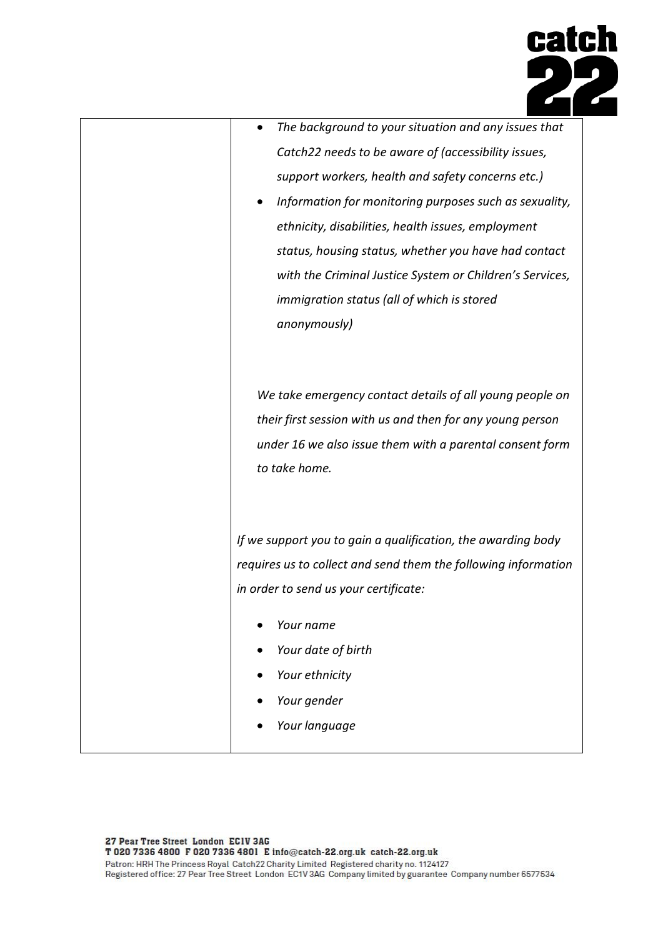

| The background to your situation and any issues that<br>$\bullet$ |
|-------------------------------------------------------------------|
| Catch22 needs to be aware of (accessibility issues,               |
| support workers, health and safety concerns etc.)                 |
| Information for monitoring purposes such as sexuality,            |
| ethnicity, disabilities, health issues, employment                |
| status, housing status, whether you have had contact              |
| with the Criminal Justice System or Children's Services,          |
| immigration status (all of which is stored                        |
| anonymously)                                                      |
|                                                                   |
|                                                                   |
| We take emergency contact details of all young people on          |
| their first session with us and then for any young person         |
| under 16 we also issue them with a parental consent form          |
| to take home.                                                     |
|                                                                   |
|                                                                   |
| If we support you to gain a qualification, the awarding body      |
| requires us to collect and send them the following information    |
| in order to send us your certificate:                             |
| Your name                                                         |
| Your date of birth                                                |
| Your ethnicity                                                    |
| Your gender                                                       |
| Your language                                                     |
|                                                                   |
|                                                                   |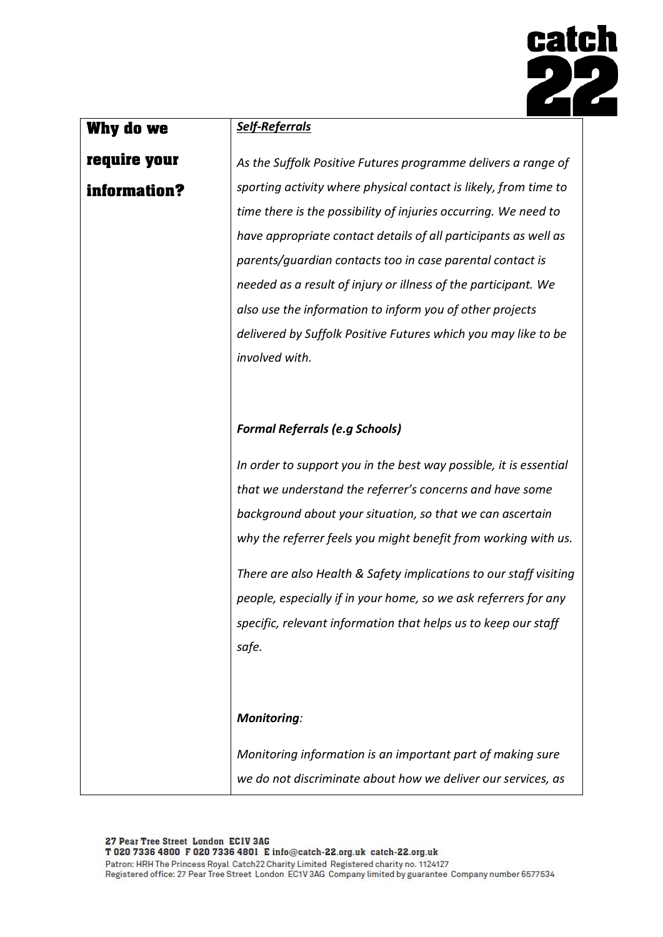

### **Why do we**

### **require your information?**

*Self-Referrals*

*As the Suffolk Positive Futures programme delivers a range of sporting activity where physical contact is likely, from time to time there is the possibility of injuries occurring. We need to have appropriate contact details of all participants as well as parents/guardian contacts too in case parental contact is needed as a result of injury or illness of the participant. We also use the information to inform you of other projects delivered by Suffolk Positive Futures which you may like to be involved with.*

#### *Formal Referrals (e.g Schools)*

*In order to support you in the best way possible, it is essential that we understand the referrer's concerns and have some background about your situation, so that we can ascertain why the referrer feels you might benefit from working with us.*

*There are also Health & Safety implications to our staff visiting people, especially if in your home, so we ask referrers for any specific, relevant information that helps us to keep our staff safe.*

#### *Monitoring:*

*Monitoring information is an important part of making sure we do not discriminate about how we deliver our services, as*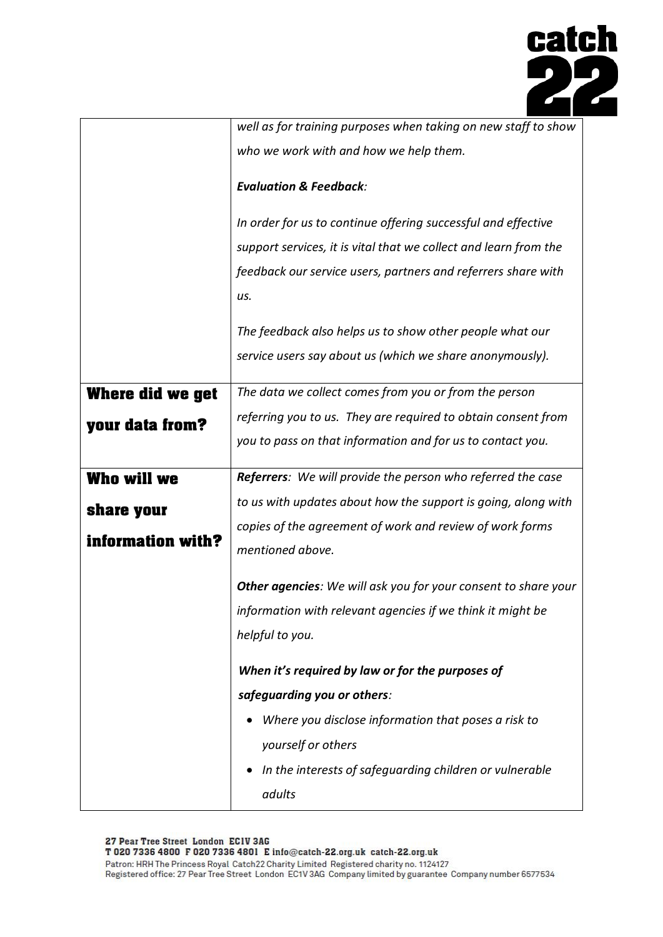

|                         | well as for training purposes when taking on new staff to show     |  |  |
|-------------------------|--------------------------------------------------------------------|--|--|
|                         | who we work with and how we help them.                             |  |  |
|                         | <b>Evaluation &amp; Feedback:</b>                                  |  |  |
|                         | In order for us to continue offering successful and effective      |  |  |
|                         | support services, it is vital that we collect and learn from the   |  |  |
|                         | feedback our service users, partners and referrers share with      |  |  |
|                         | us.                                                                |  |  |
|                         | The feedback also helps us to show other people what our           |  |  |
|                         | service users say about us (which we share anonymously).           |  |  |
| <b>Where did we get</b> | The data we collect comes from you or from the person              |  |  |
| your data from?         | referring you to us. They are required to obtain consent from      |  |  |
|                         | you to pass on that information and for us to contact you.         |  |  |
| Who will we             | <b>Referrers:</b> We will provide the person who referred the case |  |  |
| share your              | to us with updates about how the support is going, along with      |  |  |
| information with?       | copies of the agreement of work and review of work forms           |  |  |
|                         | mentioned above.                                                   |  |  |
|                         | Other agencies: We will ask you for your consent to share your     |  |  |
|                         | information with relevant agencies if we think it might be         |  |  |
|                         | helpful to you.                                                    |  |  |
|                         | When it's required by law or for the purposes of                   |  |  |
|                         | safeguarding you or others:                                        |  |  |
|                         | Where you disclose information that poses a risk to                |  |  |
|                         | yourself or others                                                 |  |  |
|                         | In the interests of safeguarding children or vulnerable            |  |  |
|                         | adults                                                             |  |  |

27 Pear Tree Street London ECIV 3AG<br>T 020 7336 4800 F 020 7336 4801 E info@catch-22.org.uk catch-22.org.uk Patron: HRH The Princess Royal Catch22 Charity Limited Registered charity no. 1124127<br>Registered office: 27 Pear Tree Street London EC1V 3AG Company limited by guarantee Company number 6577534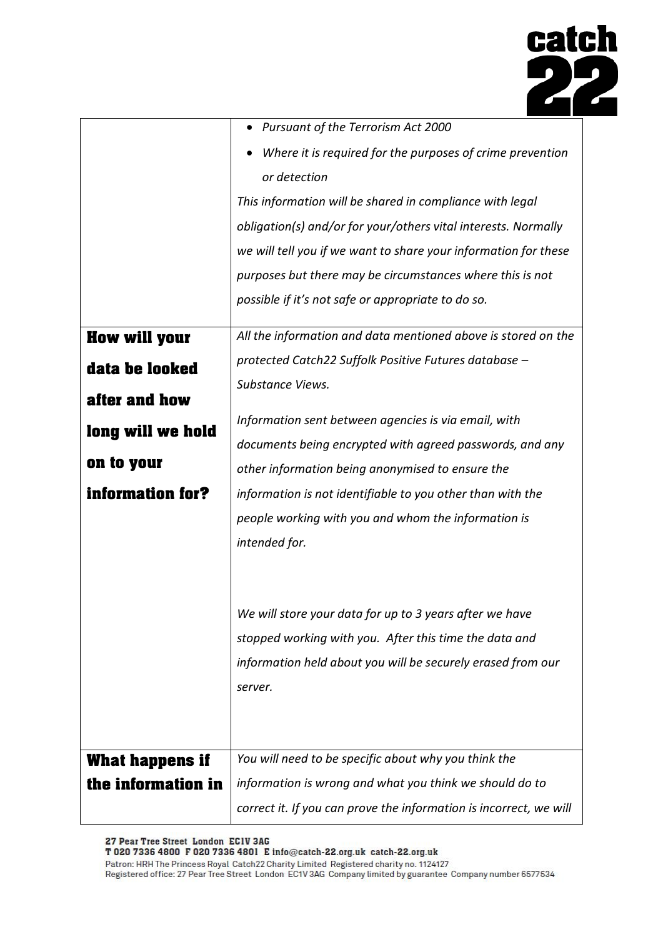

|                        | • Pursuant of the Terrorism Act 2000                               |
|------------------------|--------------------------------------------------------------------|
|                        | Where it is required for the purposes of crime prevention          |
|                        | or detection                                                       |
|                        | This information will be shared in compliance with legal           |
|                        | obligation(s) and/or for your/others vital interests. Normally     |
|                        | we will tell you if we want to share your information for these    |
|                        | purposes but there may be circumstances where this is not          |
|                        | possible if it's not safe or appropriate to do so.                 |
| <b>How will your</b>   | All the information and data mentioned above is stored on the      |
| data be looked         | protected Catch22 Suffolk Positive Futures database -              |
|                        | Substance Views.                                                   |
| after and how          |                                                                    |
| long will we hold      | Information sent between agencies is via email, with               |
| on to your             | documents being encrypted with agreed passwords, and any           |
|                        | other information being anonymised to ensure the                   |
| information for?       | information is not identifiable to you other than with the         |
|                        | people working with you and whom the information is                |
|                        | intended for.                                                      |
|                        |                                                                    |
|                        | We will store your data for up to 3 years after we have            |
|                        | stopped working with you. After this time the data and             |
|                        | information held about you will be securely erased from our        |
|                        | server.                                                            |
|                        |                                                                    |
|                        |                                                                    |
| <b>What happens if</b> | You will need to be specific about why you think the               |
| the information in     | information is wrong and what you think we should do to            |
|                        | correct it. If you can prove the information is incorrect, we will |

27 Pear Tree Street London ECIV 3AG<br>T 020 7336 4800 F 020 7336 4801 E info@catch-22.org.uk catch-22.org.uk

Patron: HRH The Princess Royal Catch22 Charity Limited Registered charity no. 1124127 Registered office: 27 Pear Tree Street London EC1V 3AG Company limited by guarantee Company number 6577534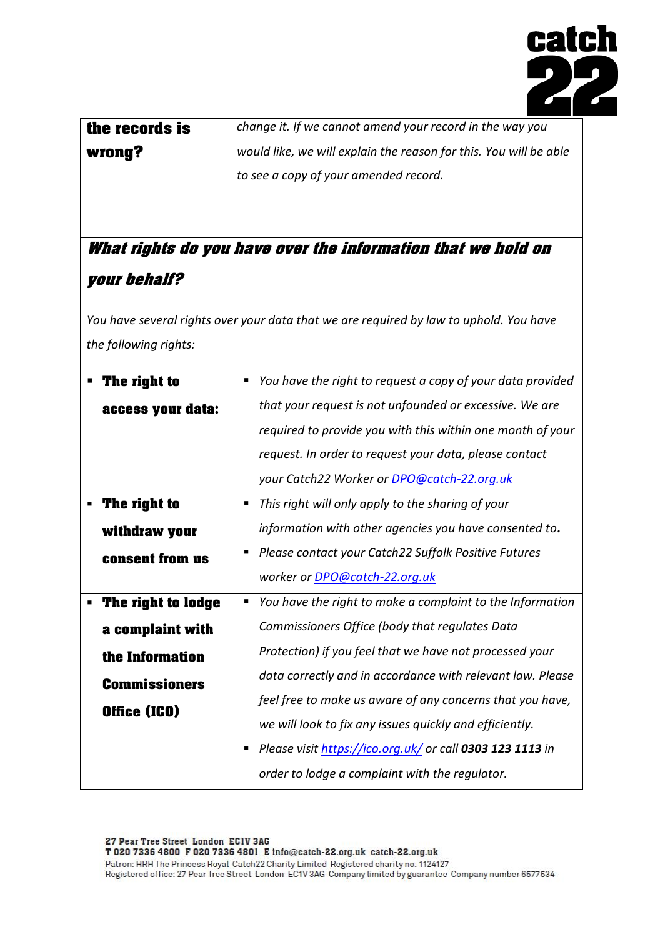

| the records is | change it. If we cannot amend your record in the way you          |  |
|----------------|-------------------------------------------------------------------|--|
| wrong?         | would like, we will explain the reason for this. You will be able |  |
|                | to see a copy of your amended record.                             |  |
|                |                                                                   |  |
|                |                                                                   |  |

## **What rights do you have over the information that we hold on your behalf?**

*You have several rights over your data that we are required by law to uphold. You have the following rights:*

|  | The right to         |   | You have the right to request a copy of your data provided |
|--|----------------------|---|------------------------------------------------------------|
|  | access your data:    |   | that your request is not unfounded or excessive. We are    |
|  |                      |   | required to provide you with this within one month of your |
|  |                      |   | request. In order to request your data, please contact     |
|  |                      |   | your Catch22 Worker or DPO@catch-22.org.uk                 |
|  | The right to         | п | This right will only apply to the sharing of your          |
|  | withdraw your        |   | information with other agencies you have consented to.     |
|  | consent from us      | п | Please contact your Catch22 Suffolk Positive Futures       |
|  |                      |   | worker or DPO@catch-22.org.uk                              |
|  | The right to lodge   | п | You have the right to make a complaint to the Information  |
|  | a complaint with     |   | Commissioners Office (body that regulates Data             |
|  | the Information      |   | Protection) if you feel that we have not processed your    |
|  | <b>Commissioners</b> |   | data correctly and in accordance with relevant law. Please |
|  | Office (ICO)         |   | feel free to make us aware of any concerns that you have,  |
|  |                      |   | we will look to fix any issues quickly and efficiently.    |
|  |                      | п | Please visit https://ico.org.uk/ or call 0303 123 1113 in  |
|  |                      |   | order to lodge a complaint with the regulator.             |
|  |                      |   |                                                            |